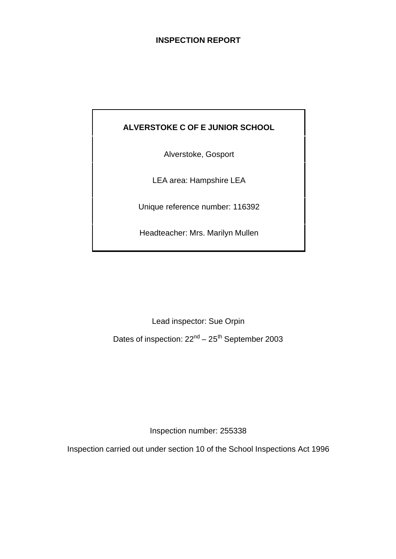## **INSPECTION REPORT**

## **ALVERSTOKE C OF E JUNIOR SCHOOL**

Alverstoke, Gosport

LEA area: Hampshire LEA

Unique reference number: 116392

Headteacher: Mrs. Marilyn Mullen

Lead inspector: Sue Orpin

Dates of inspection:  $22<sup>nd</sup> - 25<sup>th</sup>$  September 2003

Inspection number: 255338

Inspection carried out under section 10 of the School Inspections Act 1996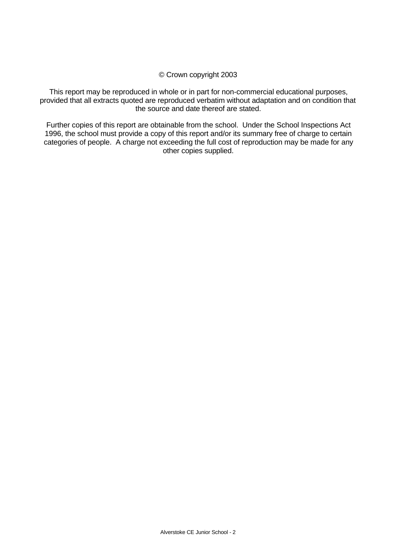#### © Crown copyright 2003

This report may be reproduced in whole or in part for non-commercial educational purposes, provided that all extracts quoted are reproduced verbatim without adaptation and on condition that the source and date thereof are stated.

Further copies of this report are obtainable from the school. Under the School Inspections Act 1996, the school must provide a copy of this report and/or its summary free of charge to certain categories of people. A charge not exceeding the full cost of reproduction may be made for any other copies supplied.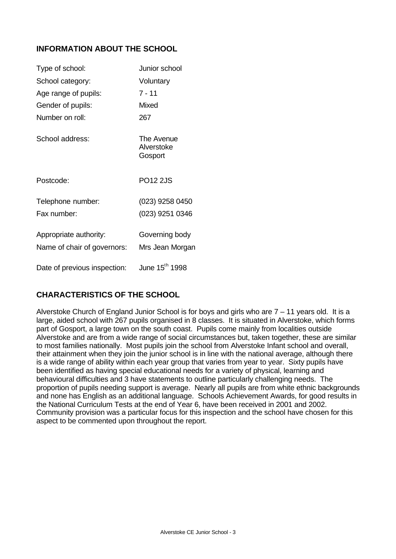## **INFORMATION ABOUT THE SCHOOL**

| Type of school:              | Junior school                       |
|------------------------------|-------------------------------------|
| School category:             | Voluntary                           |
| Age range of pupils:         | $7 - 11$                            |
| Gender of pupils:            | Mixed                               |
| Number on roll:              | 267                                 |
| School address:              | The Avenue<br>Alverstoke<br>Gosport |
| Postcode:                    | <b>PO12 2JS</b>                     |
| Telephone number:            | (023) 9258 0450                     |
| Fax number:                  | (023) 9251 0346                     |
| Appropriate authority:       | Governing body                      |
| Name of chair of governors:  | Mrs Jean Morgan                     |
| Date of previous inspection: | June 15 <sup>th</sup> 1998          |

## **CHARACTERISTICS OF THE SCHOOL**

Alverstoke Church of England Junior School is for boys and girls who are 7 – 11 years old. It is a large, aided school with 267 pupils organised in 8 classes. It is situated in Alverstoke, which forms part of Gosport, a large town on the south coast. Pupils come mainly from localities outside Alverstoke and are from a wide range of social circumstances but, taken together, these are similar to most families nationally. Most pupils join the school from Alverstoke Infant school and overall, their attainment when they join the junior school is in line with the national average, although there is a wide range of ability within each year group that varies from year to year. Sixty pupils have been identified as having special educational needs for a variety of physical, learning and behavioural difficulties and 3 have statements to outline particularly challenging needs. The proportion of pupils needing support is average. Nearly all pupils are from white ethnic backgrounds and none has English as an additional language. Schools Achievement Awards, for good results in the National Curriculum Tests at the end of Year 6, have been received in 2001 and 2002. Community provision was a particular focus for this inspection and the school have chosen for this aspect to be commented upon throughout the report.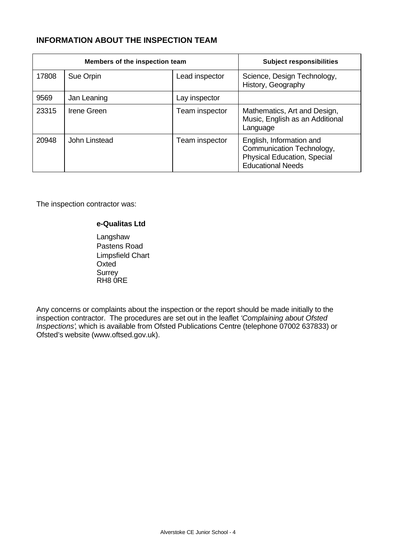## **INFORMATION ABOUT THE INSPECTION TEAM**

| Members of the inspection team |               |                | <b>Subject responsibilities</b>                                                                                         |
|--------------------------------|---------------|----------------|-------------------------------------------------------------------------------------------------------------------------|
| 17808                          | Sue Orpin     | Lead inspector | Science, Design Technology,<br>History, Geography                                                                       |
| 9569                           | Jan Leaning   | Lay inspector  |                                                                                                                         |
| 23315                          | Irene Green   | Team inspector | Mathematics, Art and Design,<br>Music, English as an Additional<br>Language                                             |
| 20948                          | John Linstead | Team inspector | English, Information and<br>Communication Technology,<br><b>Physical Education, Special</b><br><b>Educational Needs</b> |

The inspection contractor was:

#### **e-Qualitas Ltd**

Langshaw Pastens Road Limpsfield Chart **Oxted Surrey** RH8 0RE

Any concerns or complaints about the inspection or the report should be made initially to the inspection contractor. The procedures are set out in the leaflet *'Complaining about Ofsted Inspections'*, which is available from Ofsted Publications Centre (telephone 07002 637833) or Ofsted's website (www.oftsed.gov.uk).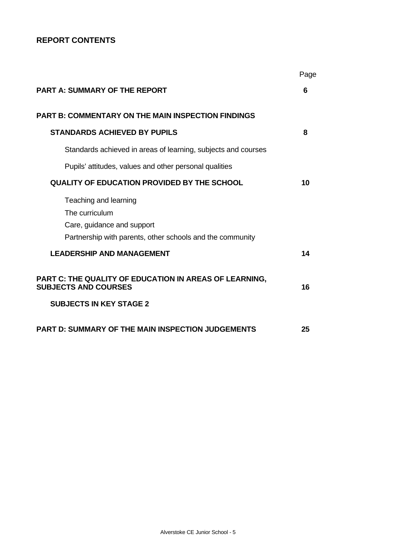## **REPORT CONTENTS**

|                                                                                       | Page |
|---------------------------------------------------------------------------------------|------|
| <b>PART A: SUMMARY OF THE REPORT</b>                                                  | 6    |
| <b>PART B: COMMENTARY ON THE MAIN INSPECTION FINDINGS</b>                             |      |
| <b>STANDARDS ACHIEVED BY PUPILS</b>                                                   | 8    |
| Standards achieved in areas of learning, subjects and courses                         |      |
| Pupils' attitudes, values and other personal qualities                                |      |
| <b>QUALITY OF EDUCATION PROVIDED BY THE SCHOOL</b>                                    | 10   |
| Teaching and learning                                                                 |      |
| The curriculum<br>Care, guidance and support                                          |      |
| Partnership with parents, other schools and the community                             |      |
| <b>LEADERSHIP AND MANAGEMENT</b>                                                      | 14   |
| PART C: THE QUALITY OF EDUCATION IN AREAS OF LEARNING,<br><b>SUBJECTS AND COURSES</b> | 16   |
| <b>SUBJECTS IN KEY STAGE 2</b>                                                        |      |
| <b>PART D: SUMMARY OF THE MAIN INSPECTION JUDGEMENTS</b>                              | 25   |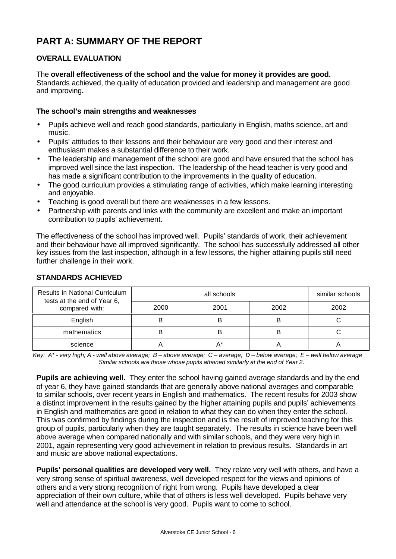# **PART A: SUMMARY OF THE REPORT**

## **OVERALL EVALUATION**

#### The **overall effectiveness of the school and the value for money it provides are good.**

Standards achieved, the quality of education provided and leadership and management are good and improving**.**

#### **The school's main strengths and weaknesses**

- Pupils achieve well and reach good standards, particularly in English, maths science, art and music.
- Pupils' attitudes to their lessons and their behaviour are very good and their interest and enthusiasm makes a substantial difference to their work.
- The leadership and management of the school are good and have ensured that the school has improved well since the last inspection. The leadership of the head teacher is very good and has made a significant contribution to the improvements in the quality of education.
- The good curriculum provides a stimulating range of activities, which make learning interesting and enjoyable.
- Teaching is good overall but there are weaknesses in a few lessons.
- Partnership with parents and links with the community are excellent and make an important contribution to pupils' achievement.

The effectiveness of the school has improved well. Pupils' standards of work, their achievement and their behaviour have all improved significantly. The school has successfully addressed all other key issues from the last inspection, although in a few lessons, the higher attaining pupils still need further challenge in their work.

| <b>Results in National Curriculum</b><br>tests at the end of Year 6, |      | similar schools |      |      |
|----------------------------------------------------------------------|------|-----------------|------|------|
| compared with:                                                       | 2000 | 2001            | 2002 | 2002 |
| English                                                              |      |                 |      |      |
| mathematics                                                          |      |                 |      |      |
| science                                                              |      |                 |      |      |

#### **STANDARDS ACHIEVED**

*Key: A\* - very high; A - well above average; B – above average; C – average; D – below average; E – well below average Similar schools are those whose pupils attained similarly at the end of Year 2.*

**Pupils are achieving well.** They enter the school having gained average standards and by the end of year 6, they have gained standards that are generally above national averages and comparable to similar schools, over recent years in English and mathematics. The recent results for 2003 show a distinct improvement in the results gained by the higher attaining pupils and pupils' achievements in English and mathematics are good in relation to what they can do when they enter the school. This was confirmed by findings during the inspection and is the result of improved teaching for this group of pupils, particularly when they are taught separately. The results in science have been well above average when compared nationally and with similar schools, and they were very high in 2001, again representing very good achievement in relation to previous results. Standards in art and music are above national expectations.

**Pupils' personal qualities are developed very well.** They relate very well with others, and have a very strong sense of spiritual awareness, well developed respect for the views and opinions of others and a very strong recognition of right from wrong. Pupils have developed a clear appreciation of their own culture, while that of others is less well developed. Pupils behave very well and attendance at the school is very good. Pupils want to come to school.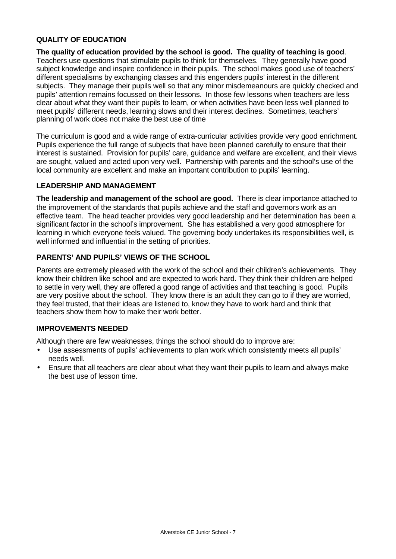## **QUALITY OF EDUCATION**

**The quality of education provided by the school is good. The quality of teaching is good**. Teachers use questions that stimulate pupils to think for themselves. They generally have good subject knowledge and inspire confidence in their pupils. The school makes good use of teachers' different specialisms by exchanging classes and this engenders pupils' interest in the different subjects. They manage their pupils well so that any minor misdemeanours are quickly checked and pupils' attention remains focussed on their lessons. In those few lessons when teachers are less clear about what they want their pupils to learn, or when activities have been less well planned to meet pupils' different needs, learning slows and their interest declines. Sometimes, teachers' planning of work does not make the best use of time

The curriculum is good and a wide range of extra-curricular activities provide very good enrichment. Pupils experience the full range of subjects that have been planned carefully to ensure that their interest is sustained. Provision for pupils' care, guidance and welfare are excellent, and their views are sought, valued and acted upon very well. Partnership with parents and the school's use of the local community are excellent and make an important contribution to pupils' learning.

#### **LEADERSHIP AND MANAGEMENT**

**The leadership and management of the school are good.** There is clear importance attached to the improvement of the standards that pupils achieve and the staff and governors work as an effective team. The head teacher provides very good leadership and her determination has been a significant factor in the school's improvement. She has established a very good atmosphere for learning in which everyone feels valued. The governing body undertakes its responsibilities well, is well informed and influential in the setting of priorities.

## **PARENTS' AND PUPILS' VIEWS OF THE SCHOOL**

Parents are extremely pleased with the work of the school and their children's achievements. They know their children like school and are expected to work hard. They think their children are helped to settle in very well, they are offered a good range of activities and that teaching is good. Pupils are very positive about the school. They know there is an adult they can go to if they are worried, they feel trusted, that their ideas are listened to, know they have to work hard and think that teachers show them how to make their work better.

#### **IMPROVEMENTS NEEDED**

Although there are few weaknesses, things the school should do to improve are:

- Use assessments of pupils' achievements to plan work which consistently meets all pupils' needs well.
- Ensure that all teachers are clear about what they want their pupils to learn and always make the best use of lesson time.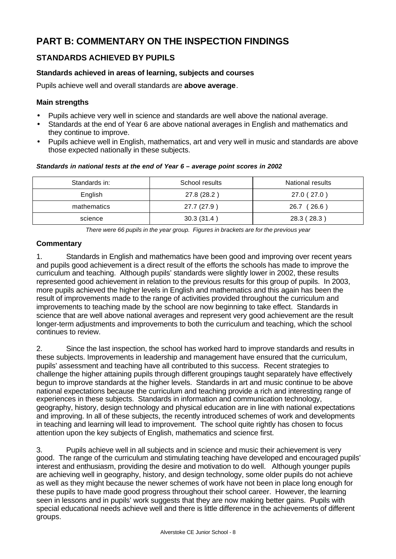# **PART B: COMMENTARY ON THE INSPECTION FINDINGS**

## **STANDARDS ACHIEVED BY PUPILS**

## **Standards achieved in areas of learning, subjects and courses**

Pupils achieve well and overall standards are **above average**.

## **Main strengths**

- Pupils achieve very well in science and standards are well above the national average.
- Standards at the end of Year 6 are above national averages in English and mathematics and they continue to improve.
- Pupils achieve well in English, mathematics, art and very well in music and standards are above those expected nationally in these subjects.

#### *Standards in national tests at the end of Year 6 – average point scores in 2002*

| Standards in: | School results | National results |
|---------------|----------------|------------------|
| English       | 27.8 (28.2)    | 27.0 (27.0)      |
| mathematics   | 27.7 (27.9)    | 26.7 (26.6)      |
| science       | 30.3(31.4)     | 28.3 (28.3)      |

*There were 66 pupils in the year group. Figures in brackets are for the previous year*

## **Commentary**

1. Standards in English and mathematics have been good and improving over recent years and pupils good achievement is a direct result of the efforts the schools has made to improve the curriculum and teaching. Although pupils' standards were slightly lower in 2002, these results represented good achievement in relation to the previous results for this group of pupils. In 2003, more pupils achieved the higher levels in English and mathematics and this again has been the result of improvements made to the range of activities provided throughout the curriculum and improvements to teaching made by the school are now beginning to take effect. Standards in science that are well above national averages and represent very good achievement are the result longer-term adjustments and improvements to both the curriculum and teaching, which the school continues to review.

2. Since the last inspection, the school has worked hard to improve standards and results in these subjects. Improvements in leadership and management have ensured that the curriculum, pupils' assessment and teaching have all contributed to this success. Recent strategies to challenge the higher attaining pupils through different groupings taught separately have effectively begun to improve standards at the higher levels. Standards in art and music continue to be above national expectations because the curriculum and teaching provide a rich and interesting range of experiences in these subjects. Standards in information and communication technology, geography, history, design technology and physical education are in line with national expectations and improving. In all of these subjects, the recently introduced schemes of work and developments in teaching and learning will lead to improvement. The school quite rightly has chosen to focus attention upon the key subjects of English, mathematics and science first.

3. Pupils achieve well in all subjects and in science and music their achievement is very good. The range of the curriculum and stimulating teaching have developed and encouraged pupils' interest and enthusiasm, providing the desire and motivation to do well. Although younger pupils are achieving well in geography, history, and design technology, some older pupils do not achieve as well as they might because the newer schemes of work have not been in place long enough for these pupils to have made good progress throughout their school career. However, the learning seen in lessons and in pupils' work suggests that they are now making better gains. Pupils with special educational needs achieve well and there is little difference in the achievements of different groups.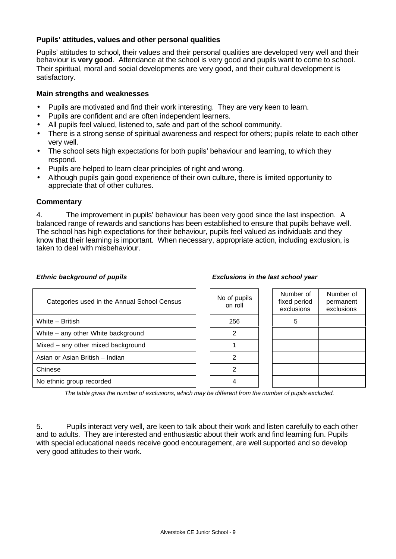## **Pupils' attitudes, values and other personal qualities**

Pupils' attitudes to school, their values and their personal qualities are developed very well and their behaviour is **very good**. Attendance at the school is very good and pupils want to come to school. Their spiritual, moral and social developments are very good, and their cultural development is satisfactory.

#### **Main strengths and weaknesses**

- Pupils are motivated and find their work interesting. They are very keen to learn.
- Pupils are confident and are often independent learners.
- All pupils feel valued, listened to, safe and part of the school community.
- There is a strong sense of spiritual awareness and respect for others; pupils relate to each other very well.
- The school sets high expectations for both pupils' behaviour and learning, to which they respond.
- Pupils are helped to learn clear principles of right and wrong.
- Although pupils gain good experience of their own culture, there is limited opportunity to appreciate that of other cultures.

#### **Commentary**

4. The improvement in pupils' behaviour has been very good since the last inspection. A balanced range of rewards and sanctions has been established to ensure that pupils behave well. The school has high expectations for their behaviour, pupils feel valued as individuals and they know that their learning is important. When necessary, appropriate action, including exclusion, is taken to deal with misbehaviour.

| Categories used in the Annual School Census |  | No of pupils<br>on roll | Numb<br>fixed p<br>exclus |
|---------------------------------------------|--|-------------------------|---------------------------|
| White - British                             |  | 256                     | 5                         |
| White – any other White background          |  | 2                       |                           |
| Mixed – any other mixed background          |  |                         |                           |
| Asian or Asian British - Indian             |  |                         |                           |
| Chinese                                     |  |                         |                           |
| No ethnic group recorded                    |  |                         |                           |

#### *Ethnic background of pupils Exclusions in the last school year*

| No of pupils<br>on roll | Number of<br>fixed period<br>exclusions | Number of<br>permanent<br>exclusions |
|-------------------------|-----------------------------------------|--------------------------------------|
| 256                     | 5                                       |                                      |
| 2                       |                                         |                                      |
|                         |                                         |                                      |
|                         |                                         |                                      |
| 2                       |                                         |                                      |
|                         |                                         |                                      |

*The table gives the number of exclusions, which may be different from the number of pupils excluded.*

5. Pupils interact very well, are keen to talk about their work and listen carefully to each other and to adults. They are interested and enthusiastic about their work and find learning fun. Pupils with special educational needs receive good encouragement, are well supported and so develop very good attitudes to their work.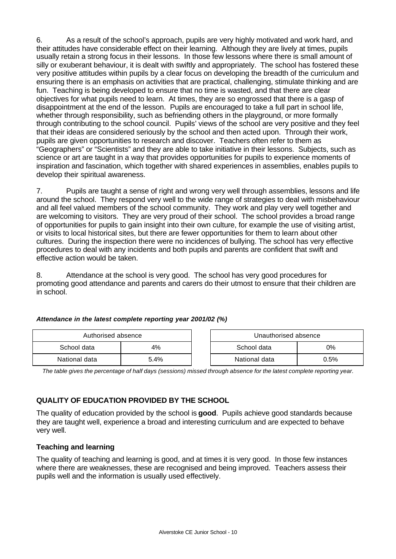6. As a result of the school's approach, pupils are very highly motivated and work hard, and their attitudes have considerable effect on their learning. Although they are lively at times, pupils usually retain a strong focus in their lessons. In those few lessons where there is small amount of silly or exuberant behaviour, it is dealt with swiftly and appropriately. The school has fostered these very positive attitudes within pupils by a clear focus on developing the breadth of the curriculum and ensuring there is an emphasis on activities that are practical, challenging, stimulate thinking and are fun. Teaching is being developed to ensure that no time is wasted, and that there are clear objectives for what pupils need to learn. At times, they are so engrossed that there is a gasp of disappointment at the end of the lesson. Pupils are encouraged to take a full part in school life, whether through responsibility, such as befriending others in the playground, or more formally through contributing to the school council. Pupils' views of the school are very positive and they feel that their ideas are considered seriously by the school and then acted upon. Through their work, pupils are given opportunities to research and discover. Teachers often refer to them as "Geographers" or "Scientists" and they are able to take initiative in their lessons. Subjects, such as science or art are taught in a way that provides opportunities for pupils to experience moments of inspiration and fascination, which together with shared experiences in assemblies, enables pupils to develop their spiritual awareness.

7. Pupils are taught a sense of right and wrong very well through assemblies, lessons and life around the school. They respond very well to the wide range of strategies to deal with misbehaviour and all feel valued members of the school community. They work and play very well together and are welcoming to visitors. They are very proud of their school. The school provides a broad range of opportunities for pupils to gain insight into their own culture, for example the use of visiting artist, or visits to local historical sites, but there are fewer opportunities for them to learn about other cultures. During the inspection there were no incidences of bullying. The school has very effective procedures to deal with any incidents and both pupils and parents are confident that swift and effective action would be taken.

8. Attendance at the school is very good. The school has very good procedures for promoting good attendance and parents and carers do their utmost to ensure that their children are in school.

| Authorised absence |      | Unauthorised absence |         |
|--------------------|------|----------------------|---------|
| School data        | 4%   | 0%<br>School data    |         |
| National data      | 5.4% | National data        | $0.5\%$ |

#### *Attendance in the latest complete reporting year 2001/02 (%)*

*The table gives the percentage of half days (sessions) missed through absence for the latest complete reporting year.*

## **QUALITY OF EDUCATION PROVIDED BY THE SCHOOL**

The quality of education provided by the school is **good**. Pupils achieve good standards because they are taught well, experience a broad and interesting curriculum and are expected to behave very well.

#### **Teaching and learning**

The quality of teaching and learning is good, and at times it is very good. In those few instances where there are weaknesses, these are recognised and being improved. Teachers assess their pupils well and the information is usually used effectively.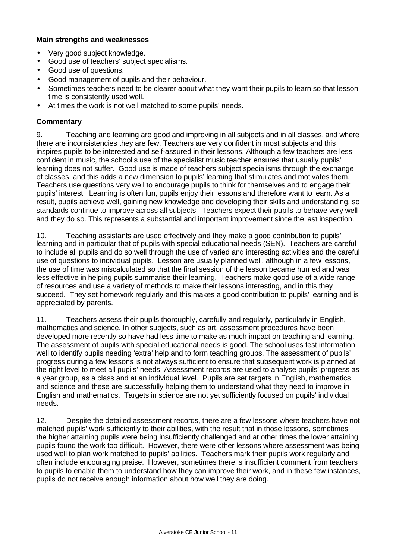#### **Main strengths and weaknesses**

- Very good subject knowledge.
- Good use of teachers' subject specialisms.
- Good use of questions.
- Good management of pupils and their behaviour.
- Sometimes teachers need to be clearer about what they want their pupils to learn so that lesson time is consistently used well.
- At times the work is not well matched to some pupils' needs.

## **Commentary**

9. Teaching and learning are good and improving in all subjects and in all classes, and where there are inconsistencies they are few. Teachers are very confident in most subjects and this inspires pupils to be interested and self-assured in their lessons. Although a few teachers are less confident in music, the school's use of the specialist music teacher ensures that usually pupils' learning does not suffer. Good use is made of teachers subject specialisms through the exchange of classes, and this adds a new dimension to pupils' learning that stimulates and motivates them. Teachers use questions very well to encourage pupils to think for themselves and to engage their pupils' interest. Learning is often fun, pupils enjoy their lessons and therefore want to learn. As a result, pupils achieve well, gaining new knowledge and developing their skills and understanding, so standards continue to improve across all subjects. Teachers expect their pupils to behave very well and they do so. This represents a substantial and important improvement since the last inspection.

10. Teaching assistants are used effectively and they make a good contribution to pupils' learning and in particular that of pupils with special educational needs (SEN). Teachers are careful to include all pupils and do so well through the use of varied and interesting activities and the careful use of questions to individual pupils. Lesson are usually planned well, although in a few lessons, the use of time was miscalculated so that the final session of the lesson became hurried and was less effective in helping pupils summarise their learning. Teachers make good use of a wide range of resources and use a variety of methods to make their lessons interesting, and in this they succeed. They set homework regularly and this makes a good contribution to pupils' learning and is appreciated by parents.

11. Teachers assess their pupils thoroughly, carefully and regularly, particularly in English, mathematics and science. In other subjects, such as art, assessment procedures have been developed more recently so have had less time to make as much impact on teaching and learning. The assessment of pupils with special educational needs is good. The school uses test information well to identify pupils needing 'extra' help and to form teaching groups. The assessment of pupils' progress during a few lessons is not always sufficient to ensure that subsequent work is planned at the right level to meet all pupils' needs. Assessment records are used to analyse pupils' progress as a year group, as a class and at an individual level. Pupils are set targets in English, mathematics and science and these are successfully helping them to understand what they need to improve in English and mathematics. Targets in science are not yet sufficiently focused on pupils' individual needs.

12. Despite the detailed assessment records, there are a few lessons where teachers have not matched pupils' work sufficiently to their abilities, with the result that in those lessons, sometimes the higher attaining pupils were being insufficiently challenged and at other times the lower attaining pupils found the work too difficult. However, there were other lessons where assessment was being used well to plan work matched to pupils' abilities. Teachers mark their pupils work regularly and often include encouraging praise. However, sometimes there is insufficient comment from teachers to pupils to enable them to understand how they can improve their work, and in these few instances, pupils do not receive enough information about how well they are doing.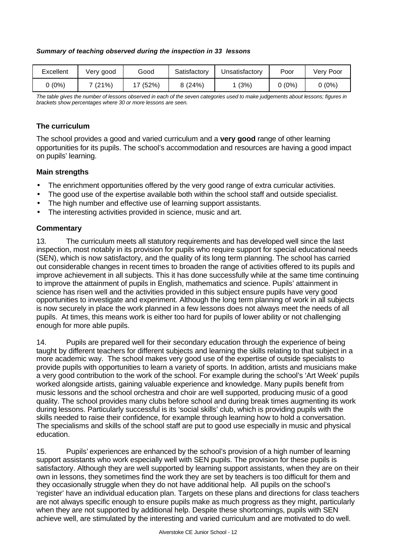#### *Summary of teaching observed during the inspection in 33 lessons*

| Excellent | Very good | Good  | Satisfactory | Jnsatisfactory | Poor   | Very Poor |
|-----------|-----------|-------|--------------|----------------|--------|-----------|
| 0 (0%)    | 7(21%)    | (52%) | 8(24%)       | (3%)           | 0 (0%) | 0 (0%)    |

*The table gives the number of lessons observed in each of the seven categories used to make judgements about lessons; figures in brackets show percentages where 30 or more lessons are seen.*

#### **The curriculum**

The school provides a good and varied curriculum and a **very good** range of other learning opportunities for its pupils. The school's accommodation and resources are having a good impact on pupils' learning.

#### **Main strengths**

- The enrichment opportunities offered by the very good range of extra curricular activities.
- The good use of the expertise available both within the school staff and outside specialist.
- The high number and effective use of learning support assistants.
- The interesting activities provided in science, music and art.

## **Commentary**

13. The curriculum meets all statutory requirements and has developed well since the last inspection, most notably in its provision for pupils who require support for special educational needs (SEN), which is now satisfactory, and the quality of its long term planning. The school has carried out considerable changes in recent times to broaden the range of activities offered to its pupils and improve achievement in all subjects. This it has done successfully while at the same time continuing to improve the attainment of pupils in English, mathematics and science. Pupils' attainment in science has risen well and the activities provided in this subject ensure pupils have very good opportunities to investigate and experiment. Although the long term planning of work in all subjects is now securely in place the work planned in a few lessons does not always meet the needs of all pupils. At times, this means work is either too hard for pupils of lower ability or not challenging enough for more able pupils.

14. Pupils are prepared well for their secondary education through the experience of being taught by different teachers for different subjects and learning the skills relating to that subject in a more academic way. The school makes very good use of the expertise of outside specialists to provide pupils with opportunities to learn a variety of sports. In addition, artists and musicians make a very good contribution to the work of the school. For example during the school's 'Art Week' pupils worked alongside artists, gaining valuable experience and knowledge. Many pupils benefit from music lessons and the school orchestra and choir are well supported, producing music of a good quality. The school provides many clubs before school and during break times augmenting its work during lessons. Particularly successful is its 'social skills' club, which is providing pupils with the skills needed to raise their confidence, for example through learning how to hold a conversation. The specialisms and skills of the school staff are put to good use especially in music and physical education.

15. Pupils' experiences are enhanced by the school's provision of a high number of learning support assistants who work especially well with SEN pupils. The provision for these pupils is satisfactory. Although they are well supported by learning support assistants, when they are on their own in lessons, they sometimes find the work they are set by teachers is too difficult for them and they occasionally struggle when they do not have additional help. All pupils on the school's 'register' have an individual education plan. Targets on these plans and directions for class teachers are not always specific enough to ensure pupils make as much progress as they might, particularly when they are not supported by additional help. Despite these shortcomings, pupils with SEN achieve well, are stimulated by the interesting and varied curriculum and are motivated to do well.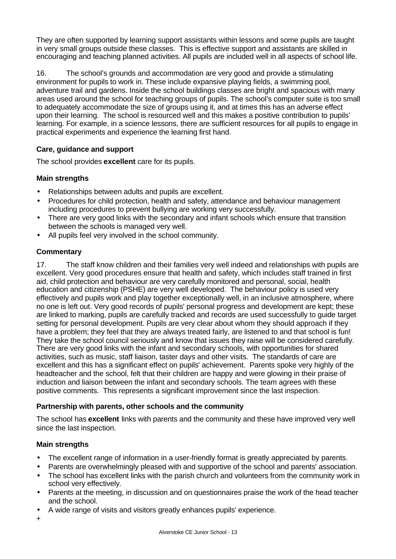They are often supported by learning support assistants within lessons and some pupils are taught in very small groups outside these classes. This is effective support and assistants are skilled in encouraging and teaching planned activities. All pupils are included well in all aspects of school life.

16. The school's grounds and accommodation are very good and provide a stimulating environment for pupils to work in. These include expansive playing fields, a swimming pool, adventure trail and gardens. Inside the school buildings classes are bright and spacious with many areas used around the school for teaching groups of pupils. The school's computer suite is too small to adequately accommodate the size of groups using it, and at times this has an adverse effect upon their learning. The school is resourced well and this makes a positive contribution to pupils' learning. For example, in a science lessons, there are sufficient resources for all pupils to engage in practical experiments and experience the learning first hand.

## **Care, guidance and support**

The school provides **excellent** care for its pupils.

## **Main strengths**

- Relationships between adults and pupils are excellent.
- Procedures for child protection, health and safety, attendance and behaviour management including procedures to prevent bullying are working very successfully.
- There are very good links with the secondary and infant schools which ensure that transition between the schools is managed very well.
- All pupils feel very involved in the school community.

## **Commentary**

17. The staff know children and their families very well indeed and relationships with pupils are excellent. Very good procedures ensure that health and safety, which includes staff trained in first aid, child protection and behaviour are very carefully monitored and personal, social, health education and citizenship (PSHE) are very well developed. The behaviour policy is used very effectively and pupils work and play together exceptionally well, in an inclusive atmosphere, where no one is left out. Very good records of pupils' personal progress and development are kept; these are linked to marking, pupils are carefully tracked and records are used successfully to guide target setting for personal development. Pupils are very clear about whom they should approach if they have a problem; they feel that they are always treated fairly, are listened to and that school is fun! They take the school council seriously and know that issues they raise will be considered carefully. There are very good links with the infant and secondary schools, with opportunities for shared activities, such as music, staff liaison, taster days and other visits. The standards of care are excellent and this has a significant effect on pupils' achievement. Parents spoke very highly of the headteacher and the school, felt that their children are happy and were glowing in their praise of induction and liaison between the infant and secondary schools. The team agrees with these positive comments. This represents a significant improvement since the last inspection.

#### **Partnership with parents, other schools and the community**

The school has **excellent** links with parents and the community and these have improved very well since the last inspection.

## **Main strengths**

- The excellent range of information in a user-friendly format is greatly appreciated by parents.
- Parents are overwhelmingly pleased with and supportive of the school and parents' association.
- The school has excellent links with the parish church and volunteers from the community work in school very effectively.
- Parents at the meeting, in discussion and on questionnaires praise the work of the head teacher and the school.
- A wide range of visits and visitors greatly enhances pupils' experience.
- +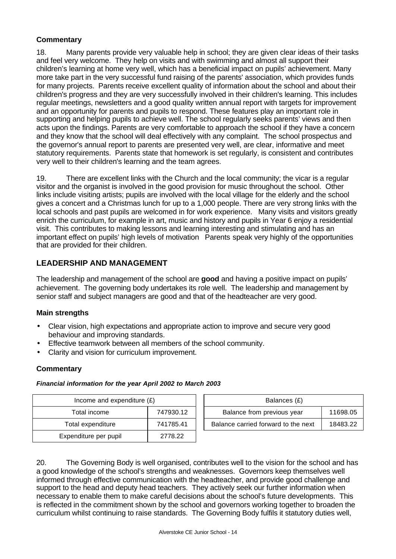## **Commentary**

18. Many parents provide very valuable help in school; they are given clear ideas of their tasks and feel very welcome. They help on visits and with swimming and almost all support their children's learning at home very well, which has a beneficial impact on pupils' achievement. Many more take part in the very successful fund raising of the parents' association, which provides funds for many projects. Parents receive excellent quality of information about the school and about their children's progress and they are very successfully involved in their children's learning. This includes regular meetings, newsletters and a good quality written annual report with targets for improvement and an opportunity for parents and pupils to respond. These features play an important role in supporting and helping pupils to achieve well. The school regularly seeks parents' views and then acts upon the findings. Parents are very comfortable to approach the school if they have a concern and they know that the school will deal effectively with any complaint. The school prospectus and the governor's annual report to parents are presented very well, are clear, informative and meet statutory requirements. Parents state that homework is set regularly, is consistent and contributes very well to their children's learning and the team agrees.

19. There are excellent links with the Church and the local community; the vicar is a regular visitor and the organist is involved in the good provision for music throughout the school. Other links include visiting artists; pupils are involved with the local village for the elderly and the school gives a concert and a Christmas lunch for up to a 1,000 people. There are very strong links with the local schools and past pupils are welcomed in for work experience. Many visits and visitors greatly enrich the curriculum, for example in art, music and history and pupils in Year 6 enjoy a residential visit. This contributes to making lessons and learning interesting and stimulating and has an important effect on pupils' high levels of motivation Parents speak very highly of the opportunities that are provided for their children.

## **LEADERSHIP AND MANAGEMENT**

The leadership and management of the school are **good** and having a positive impact on pupils' achievement. The governing body undertakes its role well. The leadership and management by senior staff and subject managers are good and that of the headteacher are very good.

## **Main strengths**

- Clear vision, high expectations and appropriate action to improve and secure very good behaviour and improving standards.
- Effective teamwork between all members of the school community.
- Clarity and vision for curriculum improvement.

## **Commentary**

#### *Financial information for the year April 2002 to March 2003*

| Income and expenditure $(E)$ |           | Balances (£)                                    |
|------------------------------|-----------|-------------------------------------------------|
| Total income                 | 747930.12 | Balance from previous year<br>11698.05          |
| Total expenditure            | 741785.41 | Balance carried forward to the next<br>18483.22 |
| Expenditure per pupil        | 2778.22   |                                                 |

20. The Governing Body is well organised, contributes well to the vision for the school and has a good knowledge of the school's strengths and weaknesses. Governors keep themselves well informed through effective communication with the headteacher, and provide good challenge and support to the head and deputy head teachers. They actively seek our further information when necessary to enable them to make careful decisions about the school's future developments. This is reflected in the commitment shown by the school and governors working together to broaden the curriculum whilst continuing to raise standards. The Governing Body fulfils it statutory duties well,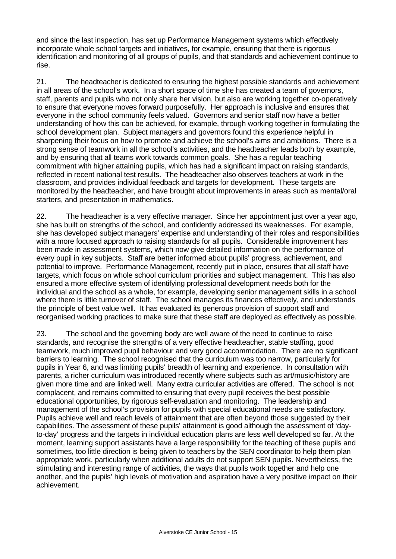and since the last inspection, has set up Performance Management systems which effectively incorporate whole school targets and initiatives, for example, ensuring that there is rigorous identification and monitoring of all groups of pupils, and that standards and achievement continue to rise.

21. The headteacher is dedicated to ensuring the highest possible standards and achievement in all areas of the school's work. In a short space of time she has created a team of governors, staff, parents and pupils who not only share her vision, but also are working together co-operatively to ensure that everyone moves forward purposefully. Her approach is inclusive and ensures that everyone in the school community feels valued. Governors and senior staff now have a better understanding of how this can be achieved, for example, through working together in formulating the school development plan. Subject managers and governors found this experience helpful in sharpening their focus on how to promote and achieve the school's aims and ambitions. There is a strong sense of teamwork in all the school's activities, and the headteacher leads both by example, and by ensuring that all teams work towards common goals. She has a regular teaching commitment with higher attaining pupils, which has had a significant impact on raising standards, reflected in recent national test results. The headteacher also observes teachers at work in the classroom, and provides individual feedback and targets for development. These targets are monitored by the headteacher, and have brought about improvements in areas such as mental/oral starters, and presentation in mathematics.

22. The headteacher is a very effective manager. Since her appointment just over a year ago, she has built on strengths of the school, and confidently addressed its weaknesses. For example, she has developed subject managers' expertise and understanding of their roles and responsibilities with a more focused approach to raising standards for all pupils. Considerable improvement has been made in assessment systems, which now give detailed information on the performance of every pupil in key subjects. Staff are better informed about pupils' progress, achievement, and potential to improve. Performance Management, recently put in place, ensures that all staff have targets, which focus on whole school curriculum priorities and subject management. This has also ensured a more effective system of identifying professional development needs both for the individual and the school as a whole, for example, developing senior management skills in a school where there is little turnover of staff. The school manages its finances effectively, and understands the principle of best value well. It has evaluated its generous provision of support staff and reorganised working practices to make sure that these staff are deployed as effectively as possible.

23. The school and the governing body are well aware of the need to continue to raise standards, and recognise the strengths of a very effective headteacher, stable staffing, good teamwork, much improved pupil behaviour and very good accommodation. There are no significant barriers to learning. The school recognised that the curriculum was too narrow, particularly for pupils in Year 6, and was limiting pupils' breadth of learning and experience. In consultation with parents, a richer curriculum was introduced recently where subjects such as art/music/history are given more time and are linked well. Many extra curricular activities are offered. The school is not complacent, and remains committed to ensuring that every pupil receives the best possible educational opportunities, by rigorous self-evaluation and monitoring. The leadership and management of the school's provision for pupils with special educational needs are satisfactory. Pupils achieve well and reach levels of attainment that are often beyond those suggested by their capabilities. The assessment of these pupils' attainment is good although the assessment of 'dayto-day' progress and the targets in individual education plans are less well developed so far. At the moment, learning support assistants have a large responsibility for the teaching of these pupils and sometimes, too little direction is being given to teachers by the SEN coordinator to help them plan appropriate work, particularly when additional adults do not support SEN pupils. Nevertheless, the stimulating and interesting range of activities, the ways that pupils work together and help one another, and the pupils' high levels of motivation and aspiration have a very positive impact on their achievement.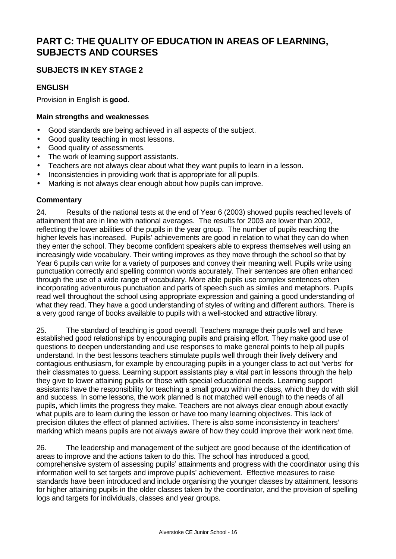# **PART C: THE QUALITY OF EDUCATION IN AREAS OF LEARNING, SUBJECTS AND COURSES**

## **SUBJECTS IN KEY STAGE 2**

## **ENGLISH**

Provision in English is **good**.

## **Main strengths and weaknesses**

- Good standards are being achieved in all aspects of the subject.
- Good quality teaching in most lessons.
- Good quality of assessments.
- The work of learning support assistants.
- Teachers are not always clear about what they want pupils to learn in a lesson.
- Inconsistencies in providing work that is appropriate for all pupils.
- Marking is not always clear enough about how pupils can improve.

#### **Commentary**

24. Results of the national tests at the end of Year 6 (2003) showed pupils reached levels of attainment that are in line with national averages. The results for 2003 are lower than 2002, reflecting the lower abilities of the pupils in the year group. The number of pupils reaching the higher levels has increased. Pupils' achievements are good in relation to what they can do when they enter the school. They become confident speakers able to express themselves well using an increasingly wide vocabulary. Their writing improves as they move through the school so that by Year 6 pupils can write for a variety of purposes and convey their meaning well. Pupils write using punctuation correctly and spelling common words accurately. Their sentences are often enhanced through the use of a wide range of vocabulary. More able pupils use complex sentences often incorporating adventurous punctuation and parts of speech such as similes and metaphors. Pupils read well throughout the school using appropriate expression and gaining a good understanding of what they read. They have a good understanding of styles of writing and different authors. There is a very good range of books available to pupils with a well-stocked and attractive library.

25. The standard of teaching is good overall. Teachers manage their pupils well and have established good relationships by encouraging pupils and praising effort. They make good use of questions to deepen understanding and use responses to make general points to help all pupils understand. In the best lessons teachers stimulate pupils well through their lively delivery and contagious enthusiasm, for example by encouraging pupils in a younger class to act out 'verbs' for their classmates to guess. Learning support assistants play a vital part in lessons through the help they give to lower attaining pupils or those with special educational needs. Learning support assistants have the responsibility for teaching a small group within the class, which they do with skill and success. In some lessons, the work planned is not matched well enough to the needs of all pupils, which limits the progress they make. Teachers are not always clear enough about exactly what pupils are to learn during the lesson or have too many learning objectives. This lack of precision dilutes the effect of planned activities. There is also some inconsistency in teachers' marking which means pupils are not always aware of how they could improve their work next time.

26. The leadership and management of the subject are good because of the identification of areas to improve and the actions taken to do this. The school has introduced a good, comprehensive system of assessing pupils' attainments and progress with the coordinator using this information well to set targets and improve pupils' achievement. Effective measures to raise standards have been introduced and include organising the younger classes by attainment, lessons for higher attaining pupils in the older classes taken by the coordinator, and the provision of spelling logs and targets for individuals, classes and year groups.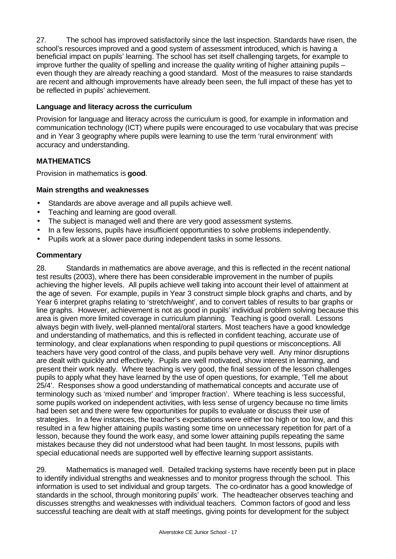27. The school has improved satisfactorily since the last inspection. Standards have risen, the school's resources improved and a good system of assessment introduced, which is having a beneficial impact on pupils' learning. The school has set itself challenging targets, for example to improve further the quality of spelling and increase the quality writing of higher attaining pupils – even though they are already reaching a good standard. Most of the measures to raise standards are recent and although improvements have already been seen, the full impact of these has yet to be reflected in pupils' achievement.

## **Language and literacy across the curriculum**

Provision for language and literacy across the curriculum is good, for example in information and communication technology (ICT) where pupils were encouraged to use vocabulary that was precise and in Year 3 geography where pupils were learning to use the term 'rural environment' with accuracy and understanding.

## **MATHEMATICS**

Provision in mathematics is **good**.

## **Main strengths and weaknesses**

- Standards are above average and all pupils achieve well.
- Teaching and learning are good overall.
- The subject is managed well and there are very good assessment systems.
- In a few lessons, pupils have insufficient opportunities to solve problems independently.
- Pupils work at a slower pace during independent tasks in some lessons.

## **Commentary**

28. Standards in mathematics are above average, and this is reflected in the recent national test results (2003), where there has been considerable improvement in the number of pupils achieving the higher levels. All pupils achieve well taking into account their level of attainment at the age of seven. For example, pupils in Year 3 construct simple block graphs and charts, and by Year 6 interpret graphs relating to 'stretch/weight', and to convert tables of results to bar graphs or line graphs. However, achievement is not as good in pupils' individual problem solving because this area is given more limited coverage in curriculum planning. Teaching is good overall. Lessons always begin with lively, well-planned mental/oral starters. Most teachers have a good knowledge and understanding of mathematics, and this is reflected in confident teaching, accurate use of terminology, and clear explanations when responding to pupil questions or misconceptions. All teachers have very good control of the class, and pupils behave very well. Any minor disruptions are dealt with quickly and effectively. Pupils are well motivated, show interest in learning, and present their work neatly. Where teaching is very good, the final session of the lesson challenges pupils to apply what they have learned by the use of open questions, for example, 'Tell me about 25/4'. Responses show a good understanding of mathematical concepts and accurate use of terminology such as 'mixed number' and 'improper fraction'. Where teaching is less successful, some pupils worked on independent activities, with less sense of urgency because no time limits had been set and there were few opportunities for pupils to evaluate or discuss their use of strategies. In a few instances, the teacher's expectations were either too high or too low, and this resulted in a few higher attaining pupils wasting some time on unnecessary repetition for part of a lesson, because they found the work easy, and some lower attaining pupils repeating the same mistakes because they did not understood what had been taught. In most lessons, pupils with special educational needs are supported well by effective learning support assistants.

29. Mathematics is managed well. Detailed tracking systems have recently been put in place to identify individual strengths and weaknesses and to monitor progress through the school. This information is used to set individual and group targets. The co-ordinator has a good knowledge of standards in the school, through monitoring pupils' work. The headteacher observes teaching and discusses strengths and weaknesses with individual teachers. Common factors of good and less successful teaching are dealt with at staff meetings, giving points for development for the subject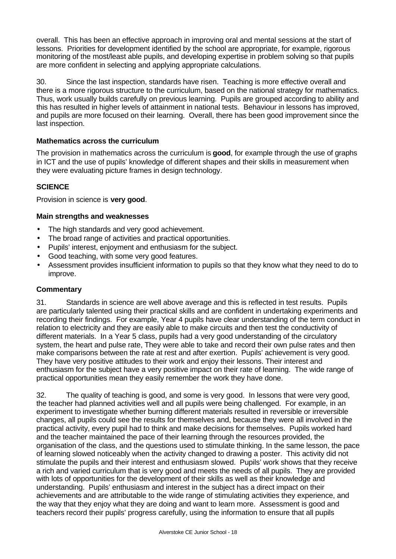overall. This has been an effective approach in improving oral and mental sessions at the start of lessons. Priorities for development identified by the school are appropriate, for example, rigorous monitoring of the most/least able pupils, and developing expertise in problem solving so that pupils are more confident in selecting and applying appropriate calculations.

30. Since the last inspection, standards have risen. Teaching is more effective overall and there is a more rigorous structure to the curriculum, based on the national strategy for mathematics. Thus, work usually builds carefully on previous learning. Pupils are grouped according to ability and this has resulted in higher levels of attainment in national tests. Behaviour in lessons has improved, and pupils are more focused on their learning. Overall, there has been good improvement since the last inspection.

## **Mathematics across the curriculum**

The provision in mathematics across the curriculum is **good**, for example through the use of graphs in ICT and the use of pupils' knowledge of different shapes and their skills in measurement when they were evaluating picture frames in design technology.

## **SCIENCE**

Provision in science is **very good**.

#### **Main strengths and weaknesses**

- The high standards and very good achievement.
- The broad range of activities and practical opportunities.
- Pupils' interest, enjoyment and enthusiasm for the subject.
- Good teaching, with some very good features.
- Assessment provides insufficient information to pupils so that they know what they need to do to improve.

#### **Commentary**

31. Standards in science are well above average and this is reflected in test results. Pupils are particularly talented using their practical skills and are confident in undertaking experiments and recording their findings. For example, Year 4 pupils have clear understanding of the term conduct in relation to electricity and they are easily able to make circuits and then test the conductivity of different materials. In a Year 5 class, pupils had a very good understanding of the circulatory system, the heart and pulse rate, They were able to take and record their own pulse rates and then make comparisons between the rate at rest and after exertion. Pupils' achievement is very good. They have very positive attitudes to their work and enjoy their lessons. Their interest and enthusiasm for the subject have a very positive impact on their rate of learning. The wide range of practical opportunities mean they easily remember the work they have done.

32. The quality of teaching is good, and some is very good. In lessons that were very good, the teacher had planned activities well and all pupils were being challenged. For example, in an experiment to investigate whether burning different materials resulted in reversible or irreversible changes, all pupils could see the results for themselves and, because they were all involved in the practical activity, every pupil had to think and make decisions for themselves. Pupils worked hard and the teacher maintained the pace of their learning through the resources provided, the organisation of the class, and the questions used to stimulate thinking. In the same lesson, the pace of learning slowed noticeably when the activity changed to drawing a poster. This activity did not stimulate the pupils and their interest and enthusiasm slowed. Pupils' work shows that they receive a rich and varied curriculum that is very good and meets the needs of all pupils. They are provided with lots of opportunities for the development of their skills as well as their knowledge and understanding. Pupils' enthusiasm and interest in the subject has a direct impact on their achievements and are attributable to the wide range of stimulating activities they experience, and the way that they enjoy what they are doing and want to learn more. Assessment is good and teachers record their pupils' progress carefully, using the information to ensure that all pupils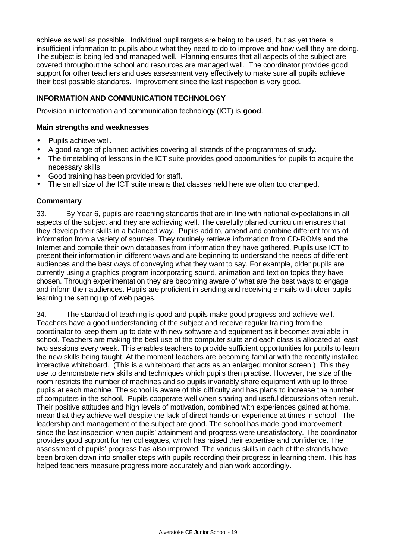achieve as well as possible. Individual pupil targets are being to be used, but as yet there is insufficient information to pupils about what they need to do to improve and how well they are doing. The subject is being led and managed well. Planning ensures that all aspects of the subject are covered throughout the school and resources are managed well. The coordinator provides good support for other teachers and uses assessment very effectively to make sure all pupils achieve their best possible standards. Improvement since the last inspection is very good.

## **INFORMATION AND COMMUNICATION TECHNOLOGY**

Provision in information and communication technology (ICT) is **good**.

#### **Main strengths and weaknesses**

- Pupils achieve well.
- A good range of planned activities covering all strands of the programmes of study.
- The timetabling of lessons in the ICT suite provides good opportunities for pupils to acquire the necessary skills.
- Good training has been provided for staff.
- The small size of the ICT suite means that classes held here are often too cramped.

## **Commentary**

33. By Year 6, pupils are reaching standards that are in line with national expectations in all aspects of the subject and they are achieving well. The carefully planed curriculum ensures that they develop their skills in a balanced way. Pupils add to, amend and combine different forms of information from a variety of sources. They routinely retrieve information from CD-ROMs and the Internet and compile their own databases from information they have gathered. Pupils use ICT to present their information in different ways and are beginning to understand the needs of different audiences and the best ways of conveying what they want to say. For example, older pupils are currently using a graphics program incorporating sound, animation and text on topics they have chosen. Through experimentation they are becoming aware of what are the best ways to engage and inform their audiences. Pupils are proficient in sending and receiving e-mails with older pupils learning the setting up of web pages.

34. The standard of teaching is good and pupils make good progress and achieve well. Teachers have a good understanding of the subject and receive regular training from the coordinator to keep them up to date with new software and equipment as it becomes available in school. Teachers are making the best use of the computer suite and each class is allocated at least two sessions every week. This enables teachers to provide sufficient opportunities for pupils to learn the new skills being taught. At the moment teachers are becoming familiar with the recently installed interactive whiteboard. (This is a whiteboard that acts as an enlarged monitor screen.) This they use to demonstrate new skills and techniques which pupils then practise. However, the size of the room restricts the number of machines and so pupils invariably share equipment with up to three pupils at each machine. The school is aware of this difficulty and has plans to increase the number of computers in the school. Pupils cooperate well when sharing and useful discussions often result. Their positive attitudes and high levels of motivation, combined with experiences gained at home, mean that they achieve well despite the lack of direct hands-on experience at times in school. The leadership and management of the subject are good. The school has made good improvement since the last inspection when pupils' attainment and progress were unsatisfactory. The coordinator provides good support for her colleagues, which has raised their expertise and confidence. The assessment of pupils' progress has also improved. The various skills in each of the strands have been broken down into smaller steps with pupils recording their progress in learning them. This has helped teachers measure progress more accurately and plan work accordingly.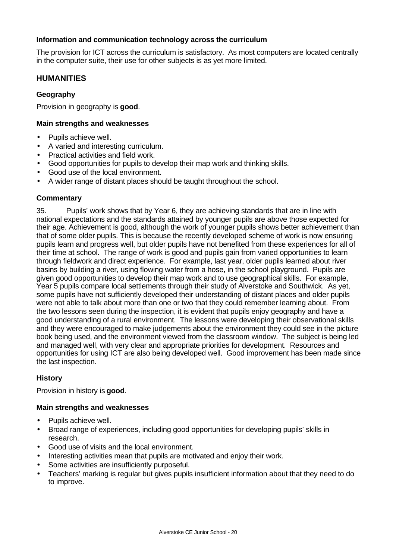#### **Information and communication technology across the curriculum**

The provision for ICT across the curriculum is satisfactory. As most computers are located centrally in the computer suite, their use for other subjects is as yet more limited.

## **HUMANITIES**

## **Geography**

Provision in geography is **good**.

## **Main strengths and weaknesses**

- Pupils achieve well.
- A varied and interesting curriculum.
- Practical activities and field work.
- Good opportunities for pupils to develop their map work and thinking skills.
- Good use of the local environment.
- A wider range of distant places should be taught throughout the school.

#### **Commentary**

35. Pupils' work shows that by Year 6, they are achieving standards that are in line with national expectations and the standards attained by younger pupils are above those expected for their age. Achievement is good, although the work of younger pupils shows better achievement than that of some older pupils. This is because the recently developed scheme of work is now ensuring pupils learn and progress well, but older pupils have not benefited from these experiences for all of their time at school. The range of work is good and pupils gain from varied opportunities to learn through fieldwork and direct experience. For example, last year, older pupils learned about river basins by building a river, using flowing water from a hose, in the school playground. Pupils are given good opportunities to develop their map work and to use geographical skills. For example, Year 5 pupils compare local settlements through their study of Alverstoke and Southwick. As yet, some pupils have not sufficiently developed their understanding of distant places and older pupils were not able to talk about more than one or two that they could remember learning about. From the two lessons seen during the inspection, it is evident that pupils enjoy geography and have a good understanding of a rural environment. The lessons were developing their observational skills and they were encouraged to make judgements about the environment they could see in the picture book being used, and the environment viewed from the classroom window. The subject is being led and managed well, with very clear and appropriate priorities for development. Resources and opportunities for using ICT are also being developed well. Good improvement has been made since the last inspection.

#### **History**

Provision in history is **good**.

#### **Main strengths and weaknesses**

- Pupils achieve well.
- Broad range of experiences, including good opportunities for developing pupils' skills in research.
- Good use of visits and the local environment.
- Interesting activities mean that pupils are motivated and enjoy their work.
- Some activities are insufficiently purposeful.
- Teachers' marking is regular but gives pupils insufficient information about that they need to do to improve.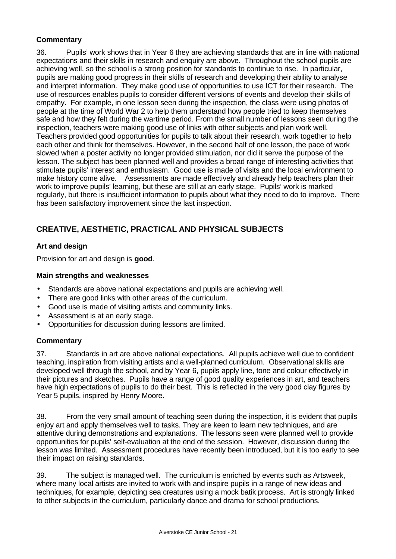## **Commentary**

36. Pupils' work shows that in Year 6 they are achieving standards that are in line with national expectations and their skills in research and enquiry are above. Throughout the school pupils are achieving well, so the school is a strong position for standards to continue to rise. In particular, pupils are making good progress in their skills of research and developing their ability to analyse and interpret information. They make good use of opportunities to use ICT for their research. The use of resources enables pupils to consider different versions of events and develop their skills of empathy. For example, in one lesson seen during the inspection, the class were using photos of people at the time of World War 2 to help them understand how people tried to keep themselves safe and how they felt during the wartime period. From the small number of lessons seen during the inspection, teachers were making good use of links with other subjects and plan work well. Teachers provided good opportunities for pupils to talk about their research, work together to help each other and think for themselves. However, in the second half of one lesson, the pace of work slowed when a poster activity no longer provided stimulation, nor did it serve the purpose of the lesson. The subject has been planned well and provides a broad range of interesting activities that stimulate pupils' interest and enthusiasm. Good use is made of visits and the local environment to make history come alive. Assessments are made effectively and already help teachers plan their work to improve pupils' learning, but these are still at an early stage. Pupils' work is marked regularly, but there is insufficient information to pupils about what they need to do to improve. There has been satisfactory improvement since the last inspection.

## **CREATIVE, AESTHETIC, PRACTICAL AND PHYSICAL SUBJECTS**

## **Art and design**

Provision for art and design is **good**.

## **Main strengths and weaknesses**

- Standards are above national expectations and pupils are achieving well.
- There are good links with other areas of the curriculum.
- Good use is made of visiting artists and community links.
- Assessment is at an early stage.
- Opportunities for discussion during lessons are limited.

#### **Commentary**

37. Standards in art are above national expectations. All pupils achieve well due to confident teaching, inspiration from visiting artists and a well-planned curriculum. Observational skills are developed well through the school, and by Year 6, pupils apply line, tone and colour effectively in their pictures and sketches. Pupils have a range of good quality experiences in art, and teachers have high expectations of pupils to do their best. This is reflected in the very good clay figures by Year 5 pupils, inspired by Henry Moore.

38. From the very small amount of teaching seen during the inspection, it is evident that pupils enjoy art and apply themselves well to tasks. They are keen to learn new techniques, and are attentive during demonstrations and explanations. The lessons seen were planned well to provide opportunities for pupils' self-evaluation at the end of the session. However, discussion during the lesson was limited. Assessment procedures have recently been introduced, but it is too early to see their impact on raising standards.

39. The subject is managed well. The curriculum is enriched by events such as Artsweek, where many local artists are invited to work with and inspire pupils in a range of new ideas and techniques, for example, depicting sea creatures using a mock batik process. Art is strongly linked to other subjects in the curriculum, particularly dance and drama for school productions.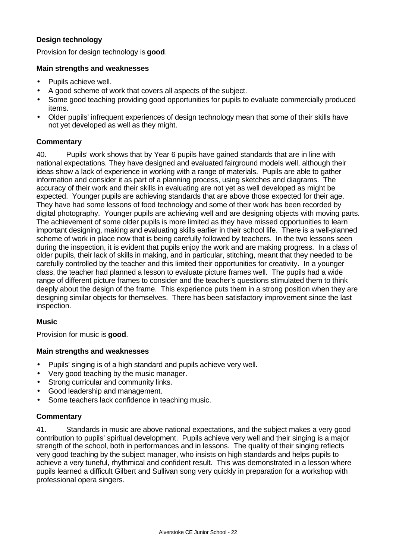## **Design technology**

Provision for design technology is **good**.

## **Main strengths and weaknesses**

- Pupils achieve well.
- A good scheme of work that covers all aspects of the subject.
- Some good teaching providing good opportunities for pupils to evaluate commercially produced items.
- Older pupils' infrequent experiences of design technology mean that some of their skills have not yet developed as well as they might.

## **Commentary**

40. Pupils' work shows that by Year 6 pupils have gained standards that are in line with national expectations. They have designed and evaluated fairground models well, although their ideas show a lack of experience in working with a range of materials. Pupils are able to gather information and consider it as part of a planning process, using sketches and diagrams. The accuracy of their work and their skills in evaluating are not yet as well developed as might be expected. Younger pupils are achieving standards that are above those expected for their age. They have had some lessons of food technology and some of their work has been recorded by digital photography. Younger pupils are achieving well and are designing objects with moving parts. The achievement of some older pupils is more limited as they have missed opportunities to learn important designing, making and evaluating skills earlier in their school life. There is a well-planned scheme of work in place now that is being carefully followed by teachers. In the two lessons seen during the inspection, it is evident that pupils enjoy the work and are making progress. In a class of older pupils, their lack of skills in making, and in particular, stitching, meant that they needed to be carefully controlled by the teacher and this limited their opportunities for creativity. In a younger class, the teacher had planned a lesson to evaluate picture frames well. The pupils had a wide range of different picture frames to consider and the teacher's questions stimulated them to think deeply about the design of the frame. This experience puts them in a strong position when they are designing similar objects for themselves. There has been satisfactory improvement since the last inspection.

## **Music**

Provision for music is **good**.

#### **Main strengths and weaknesses**

- Pupils' singing is of a high standard and pupils achieve very well.
- Very good teaching by the music manager.
- Strong curricular and community links.
- Good leadership and management.
- Some teachers lack confidence in teaching music.

## **Commentary**

41. Standards in music are above national expectations, and the subject makes a very good contribution to pupils' spiritual development. Pupils achieve very well and their singing is a major strength of the school, both in performances and in lessons. The quality of their singing reflects very good teaching by the subject manager, who insists on high standards and helps pupils to achieve a very tuneful, rhythmical and confident result. This was demonstrated in a lesson where pupils learned a difficult Gilbert and Sullivan song very quickly in preparation for a workshop with professional opera singers.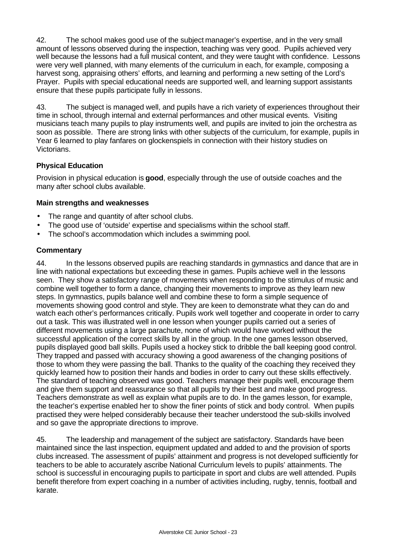42. The school makes good use of the subject manager's expertise, and in the very small amount of lessons observed during the inspection, teaching was very good. Pupils achieved very well because the lessons had a full musical content, and they were taught with confidence. Lessons were very well planned, with many elements of the curriculum in each, for example, composing a harvest song, appraising others' efforts, and learning and performing a new setting of the Lord's Prayer. Pupils with special educational needs are supported well, and learning support assistants ensure that these pupils participate fully in lessons.

43. The subject is managed well, and pupils have a rich variety of experiences throughout their time in school, through internal and external performances and other musical events. Visiting musicians teach many pupils to play instruments well, and pupils are invited to join the orchestra as soon as possible. There are strong links with other subjects of the curriculum, for example, pupils in Year 6 learned to play fanfares on glockenspiels in connection with their history studies on Victorians.

## **Physical Education**

Provision in physical education is **good**, especially through the use of outside coaches and the many after school clubs available.

## **Main strengths and weaknesses**

- The range and quantity of after school clubs.
- The good use of 'outside' expertise and specialisms within the school staff.
- The school's accommodation which includes a swimming pool.

## **Commentary**

44. In the lessons observed pupils are reaching standards in gymnastics and dance that are in line with national expectations but exceeding these in games. Pupils achieve well in the lessons seen. They show a satisfactory range of movements when responding to the stimulus of music and combine well together to form a dance, changing their movements to improve as they learn new steps. In gymnastics, pupils balance well and combine these to form a simple sequence of movements showing good control and style. They are keen to demonstrate what they can do and watch each other's performances critically. Pupils work well together and cooperate in order to carry out a task. This was illustrated well in one lesson when younger pupils carried out a series of different movements using a large parachute, none of which would have worked without the successful application of the correct skills by all in the group. In the one games lesson observed, pupils displayed good ball skills. Pupils used a hockey stick to dribble the ball keeping good control. They trapped and passed with accuracy showing a good awareness of the changing positions of those to whom they were passing the ball. Thanks to the quality of the coaching they received they quickly learned how to position their hands and bodies in order to carry out these skills effectively. The standard of teaching observed was good. Teachers manage their pupils well, encourage them and give them support and reassurance so that all pupils try their best and make good progress. Teachers demonstrate as well as explain what pupils are to do. In the games lesson, for example, the teacher's expertise enabled her to show the finer points of stick and body control. When pupils practised they were helped considerably because their teacher understood the sub-skills involved and so gave the appropriate directions to improve.

45. The leadership and management of the subject are satisfactory. Standards have been maintained since the last inspection, equipment updated and added to and the provision of sports clubs increased. The assessment of pupils' attainment and progress is not developed sufficiently for teachers to be able to accurately ascribe National Curriculum levels to pupils' attainments. The school is successful in encouraging pupils to participate in sport and clubs are well attended. Pupils benefit therefore from expert coaching in a number of activities including, rugby, tennis, football and karate.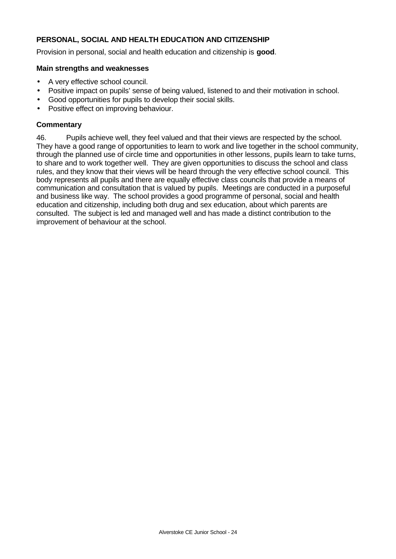## **PERSONAL, SOCIAL AND HEALTH EDUCATION AND CITIZENSHIP**

Provision in personal, social and health education and citizenship is **good**.

#### **Main strengths and weaknesses**

- A very effective school council.
- Positive impact on pupils' sense of being valued, listened to and their motivation in school.
- Good opportunities for pupils to develop their social skills.
- Positive effect on improving behaviour.

#### **Commentary**

46. Pupils achieve well, they feel valued and that their views are respected by the school. They have a good range of opportunities to learn to work and live together in the school community, through the planned use of circle time and opportunities in other lessons, pupils learn to take turns, to share and to work together well. They are given opportunities to discuss the school and class rules, and they know that their views will be heard through the very effective school council. This body represents all pupils and there are equally effective class councils that provide a means of communication and consultation that is valued by pupils. Meetings are conducted in a purposeful and business like way. The school provides a good programme of personal, social and health education and citizenship, including both drug and sex education, about which parents are consulted. The subject is led and managed well and has made a distinct contribution to the improvement of behaviour at the school.